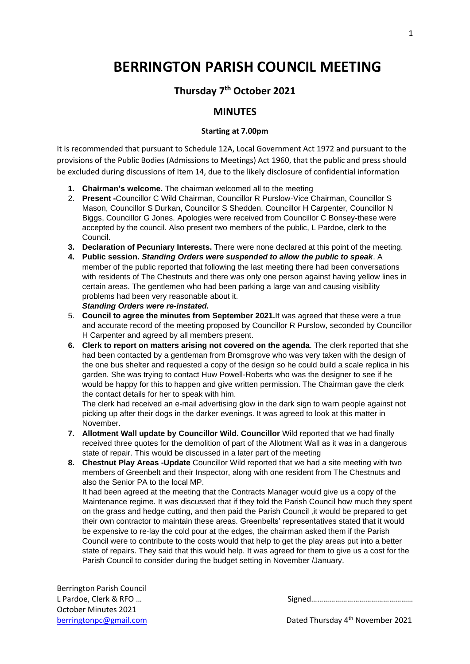# **BERRINGTON PARISH COUNCIL MEETING**

## **Thursday 7 th October 2021**

### **MINUTES**

#### **Starting at 7.00pm**

It is recommended that pursuant to Schedule 12A, Local Government Act 1972 and pursuant to the provisions of the Public Bodies (Admissions to Meetings) Act 1960, that the public and press should be excluded during discussions of Item 14, due to the likely disclosure of confidential information

- **1. Chairman's welcome.** The chairman welcomed all to the meeting
- 2. **Present -**Councillor C Wild Chairman, Councillor R Purslow-Vice Chairman, Councillor S Mason, Councillor S Durkan, Councillor S Shedden, Councillor H Carpenter, Councillor N Biggs, Councillor G Jones. Apologies were received from Councillor C Bonsey-these were accepted by the council. Also present two members of the public, L Pardoe, clerk to the Council.
- **3. Declaration of Pecuniary Interests.** There were none declared at this point of the meeting.
- **4. Public session.** *Standing Orders were suspended to allow the public to speak*. A member of the public reported that following the last meeting there had been conversations with residents of The Chestnuts and there was only one person against having yellow lines in certain areas. The gentlemen who had been parking a large van and causing visibility problems had been very reasonable about it. *Standing Orders were re-instated.*
- 5. **Council to agree the minutes from September 2021.**It was agreed that these were a true and accurate record of the meeting proposed by Councillor R Purslow, seconded by Councillor H Carpenter and agreed by all members present.
- **6. Clerk to report on matters arising not covered on the agenda**. The clerk reported that she had been contacted by a gentleman from Bromsgrove who was very taken with the design of the one bus shelter and requested a copy of the design so he could build a scale replica in his garden. She was trying to contact Huw Powell-Roberts who was the designer to see if he would be happy for this to happen and give written permission. The Chairman gave the clerk the contact details for her to speak with him.

The clerk had received an e-mail advertising glow in the dark sign to warn people against not picking up after their dogs in the darker evenings. It was agreed to look at this matter in November.

- **7. Allotment Wall update by Councillor Wild. Councillor** Wild reported that we had finally received three quotes for the demolition of part of the Allotment Wall as it was in a dangerous state of repair. This would be discussed in a later part of the meeting
- **8. Chestnut Play Areas -Update** Councillor Wild reported that we had a site meeting with two members of Greenbelt and their Inspector, along with one resident from The Chestnuts and also the Senior PA to the local MP.

It had been agreed at the meeting that the Contracts Manager would give us a copy of the Maintenance regime. It was discussed that if they told the Parish Council how much they spent on the grass and hedge cutting, and then paid the Parish Council ,it would be prepared to get their own contractor to maintain these areas. Greenbelts' representatives stated that it would be expensive to re-lay the cold pour at the edges, the chairman asked them if the Parish Council were to contribute to the costs would that help to get the play areas put into a better state of repairs. They said that this would help. It was agreed for them to give us a cost for the Parish Council to consider during the budget setting in November /January.

Berrington Parish Council L Pardoe, Clerk & RFO ... October Minutes 2021

[berringtonpc@gmail.com](mailto:berringtonpc@gmail.com) berringtonpc@gmail.com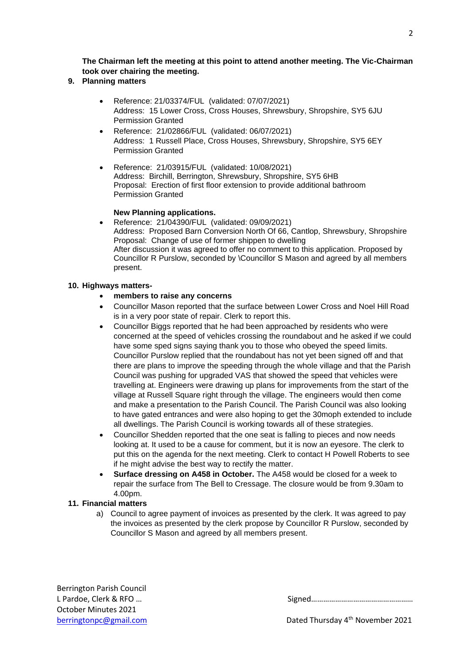$\mathcal{L}$ 

**The Chairman left the meeting at this point to attend another meeting. The Vic-Chairman took over chairing the meeting.**

#### **9. Planning matters**

- Reference: 21/03374/FUL (validated: 07/07/2021) Address: 15 Lower Cross, Cross Houses, Shrewsbury, Shropshire, SY5 6JU Permission Granted
- Reference: 21/02866/FUL (validated: 06/07/2021) Address: 1 Russell Place, Cross Houses, Shrewsbury, Shropshire, SY5 6EY Permission Granted
- Reference: 21/03915/FUL (validated: 10/08/2021) Address: Birchill, Berrington, Shrewsbury, Shropshire, SY5 6HB Proposal: Erection of first floor extension to provide additional bathroom Permission Granted

#### **New Planning applications.**

• Reference: 21/04390/FUL (validated: 09/09/2021) Address: Proposed Barn Conversion North Of 66, Cantlop, Shrewsbury, Shropshire Proposal: Change of use of former shippen to dwelling After discussion it was agreed to offer no comment to this application. Proposed by Councillor R Purslow, seconded by \Councillor S Mason and agreed by all members present.

#### **10. Highways matters-**

- **members to raise any concerns**
- Councillor Mason reported that the surface between Lower Cross and Noel Hill Road is in a very poor state of repair. Clerk to report this.
- Councillor Biggs reported that he had been approached by residents who were concerned at the speed of vehicles crossing the roundabout and he asked if we could have some sped signs saying thank you to those who obeyed the speed limits. Councillor Purslow replied that the roundabout has not yet been signed off and that there are plans to improve the speeding through the whole village and that the Parish Council was pushing for upgraded VAS that showed the speed that vehicles were travelling at. Engineers were drawing up plans for improvements from the start of the village at Russell Square right through the village. The engineers would then come and make a presentation to the Parish Council. The Parish Council was also looking to have gated entrances and were also hoping to get the 30moph extended to include all dwellings. The Parish Council is working towards all of these strategies.
- Councillor Shedden reported that the one seat is falling to pieces and now needs looking at. It used to be a cause for comment, but it is now an eyesore. The clerk to put this on the agenda for the next meeting. Clerk to contact H Powell Roberts to see if he might advise the best way to rectify the matter.
- **Surface dressing on A458 in October.** The A458 would be closed for a week to repair the surface from The Bell to Cressage. The closure would be from 9.30am to 4.00pm.

#### **11. Financial matters**

a) Council to agree payment of invoices as presented by the clerk. It was agreed to pay the invoices as presented by the clerk propose by Councillor R Purslow, seconded by Councillor S Mason and agreed by all members present.

Berrington Parish Council L Pardoe, Clerk & RFO ... Signed 200 and 200 and 200 and 200 and 200 and 200 and 200 and 200 and 200 and 200 and 200 and 200 and 200 and 200 and 200 and 200 and 200 and 200 and 200 and 200 and 200 and 200 and 200 and 200 a October Minutes 2021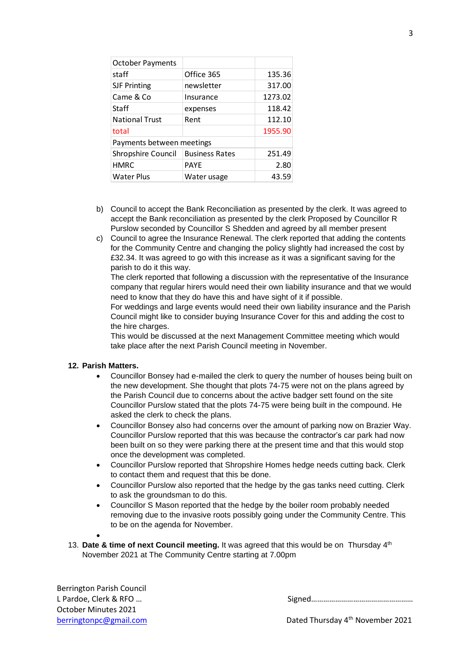| <b>October Payments</b>   |                       |         |  |  |
|---------------------------|-----------------------|---------|--|--|
| staff                     | Office 365            | 135.36  |  |  |
| <b>SJF Printing</b>       | newsletter            | 317.00  |  |  |
| Came & Co                 | Insurance             | 1273.02 |  |  |
| Staff                     | expenses              | 118.42  |  |  |
| <b>National Trust</b>     | Rent                  | 112.10  |  |  |
| total                     |                       | 1955.90 |  |  |
| Payments between meetings |                       |         |  |  |
| Shropshire Council        | <b>Business Rates</b> | 251.49  |  |  |
| <b>HMRC</b>               | <b>PAYE</b>           | 2.80    |  |  |
| <b>Water Plus</b>         | Water usage           | 43.59   |  |  |

- b) Council to accept the Bank Reconciliation as presented by the clerk. It was agreed to accept the Bank reconciliation as presented by the clerk Proposed by Councillor R Purslow seconded by Councillor S Shedden and agreed by all member present
- c) Council to agree the Insurance Renewal. The clerk reported that adding the contents for the Community Centre and changing the policy slightly had increased the cost by £32.34. It was agreed to go with this increase as it was a significant saving for the parish to do it this way.

The clerk reported that following a discussion with the representative of the Insurance company that regular hirers would need their own liability insurance and that we would need to know that they do have this and have sight of it if possible.

For weddings and large events would need their own liability insurance and the Parish Council might like to consider buying Insurance Cover for this and adding the cost to the hire charges.

This would be discussed at the next Management Committee meeting which would take place after the next Parish Council meeting in November.

#### **12. Parish Matters.**

- Councillor Bonsey had e-mailed the clerk to query the number of houses being built on the new development. She thought that plots 74-75 were not on the plans agreed by the Parish Council due to concerns about the active badger sett found on the site Councillor Purslow stated that the plots 74-75 were being built in the compound. He asked the clerk to check the plans.
- Councillor Bonsey also had concerns over the amount of parking now on Brazier Way. Councillor Purslow reported that this was because the contractor's car park had now been built on so they were parking there at the present time and that this would stop once the development was completed.
- Councillor Purslow reported that Shropshire Homes hedge needs cutting back. Clerk to contact them and request that this be done.
- Councillor Purslow also reported that the hedge by the gas tanks need cutting. Clerk to ask the groundsman to do this.
- Councillor S Mason reported that the hedge by the boiler room probably needed removing due to the invasive roots possibly going under the Community Centre. This to be on the agenda for November.
- 

•

13. Date & time of next Council meeting. It was agreed that this would be on Thursday 4<sup>th</sup> November 2021 at The Community Centre starting at 7.00pm

Berrington Parish Council L Pardoe, Clerk & RFO ... October Minutes 2021

[berringtonpc@gmail.com](mailto:berringtonpc@gmail.com) berringtonpc@gmail.com